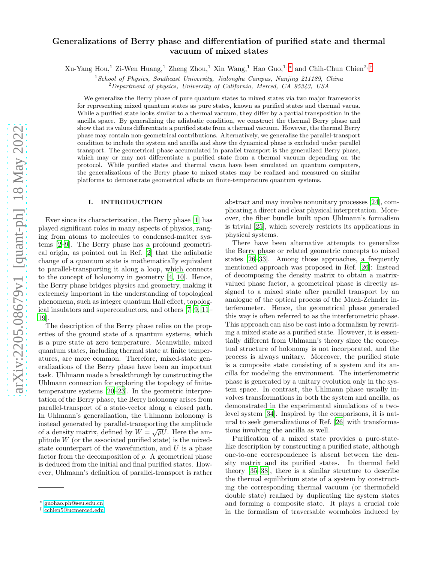# Generalizations of Berry phase and differentiation of purified state and thermal vacuum of mixed states

Xu-Yang Hou,<sup>1</sup> Zi-Wen Huang,<sup>1</sup> Zheng Zhou,<sup>1</sup> Xin Wang,<sup>1</sup> Hao Guo,<sup>1,\*</sup> and Chih-Chun Chien<sup>2,[†](#page-0-1)</sup>

<sup>1</sup>*School of Physics, Southeast University, Jiulonghu Campus, Nanjing 211189, China* <sup>2</sup>*Department of physics, University of California, Merced, CA 95343, USA*

We generalize the Berry phase of pure quantum states to mixed states via two major frameworks for representing mixed quantum states as pure states, known as purified states and thermal vacua. While a purified state looks similar to a thermal vacuum, they differ by a partial transposition in the ancilla space. By generalizing the adiabatic condition, we construct the thermal Berry phase and show that its values differentiate a purified state from a thermal vacuum. However, the thermal Berry phase may contain non-geometrical contributions. Alternatively, we generalize the parallel-transport condition to include the system and ancilla and show the dynamical phase is excluded under parallel transport. The geometrical phase accumulated in parallel transport is the generalized Berry phase, which may or may not differentiate a purified state from a thermal vacuum depending on the protocol. While purified states and thermal vacua have been simulated on quantum computers, the generalizations of the Berry phase to mixed states may be realized and measured on similar platforms to demonstrate geometrical effects on finite-temperature quantum systems.

#### I. INTRODUCTION

Ever since its characterization, the Berry phase [\[1\]](#page-12-0) has played significant roles in many aspects of physics, ranging from atoms to molecules to condensed-matter systems [\[2](#page-12-1)[–9](#page-12-2)]. The Berry phase has a profound geometrical origin, as pointed out in Ref. [\[2](#page-12-1)] that the adiabatic change of a quantum state is mathematically equivalent to parallel-transporting it along a loop, which connects to the concept of holonomy in geometry [\[4](#page-12-3), [10\]](#page-12-4). Hence, the Berry phase bridges physics and geometry, making it extremely important in the understanding of topological phenomena, such as integer quantum Hall effect, topological insulators and superconductors, and others [\[7](#page-12-5)[–9,](#page-12-2) [11](#page-12-6)– [19\]](#page-12-7).

The description of the Berry phase relies on the properties of the ground state of a quantum systems, which is a pure state at zero temperature. Meanwhile, mixed quantum states, including thermal state at finite temperatures, are more common. Therefore, mixed-state generalizations of the Berry phase have been an important task. Uhlmann made a breakthrough by constructing the Uhlmann connection for exploring the topology of finitetemperature systems [\[20](#page-12-8)[–23\]](#page-12-9). In the geometric interpretation of the Berry phase, the Berry holonomy arises from parallel-transport of a state-vector along a closed path. In Uhlmann's generalization, the Uhlmann holonomy is instead generated by parallel-transporting the amplitude of a density matrix, defined by  $W = \sqrt{\rho U}$ . Here the amplitude  $W$  (or the associated purified state) is the mixedstate counterpart of the wavefunction, and  $U$  is a phase factor from the decomposition of  $\rho$ . A geometrical phase is deduced from the initial and final purified states. However, Uhlmann's definition of parallel-transport is rather

abstract and may involve nonunitary processes [\[24\]](#page-12-10), complicating a direct and clear physical interpretation. Moreover, the fiber bundle built upon Uhlmann's formalism is trivial [\[25\]](#page-12-11), which severely restricts its applications in physical systems.

There have been alternative attempts to generalize the Berry phase or related geometric concepts to mixed states [\[26](#page-12-12)[–33\]](#page-12-13). Among those approaches, a frequently mentioned approach was proposed in Ref. [\[26\]](#page-12-12): Instead of decomposing the density matrix to obtain a matrixvalued phase factor, a geometrical phase is directly assigned to a mixed state after parallel transport by an analogue of the optical process of the Mach-Zehnder interferometer. Hence, the geometrical phase generated this way is often referred to as the interferometric phase. This approach can also be cast into a formalism by rewriting a mixed state as a purified state. However, it is essentially different from Uhlmann's theory since the conceptual structure of holonomy is not incorporated, and the process is always unitary. Moreover, the purified state is a composite state consisting of a system and its ancilla for modeling the environment. The interferometric phase is generated by a unitary evolution only in the system space. In contrast, the Uhlmann phase usually involves transformations in both the system and ancilla, as demonstrated in the experimental simulations of a twolevel system [\[34\]](#page-12-14). Inspired by the comparisons, it is natural to seek generalizations of Ref. [\[26\]](#page-12-12) with transformations involving the ancilla as well.

Purification of a mixed state provides a pure-statelike description by constructing a purified state, although one-to-one correspondence is absent between the density matrix and its purified states. In thermal field theory [\[35](#page-12-15)[–38](#page-13-0)], there is a similar structure to describe the thermal equilibrium state of a system by constructing the corresponding thermal vacuum (or thermofield double state) realized by duplicating the system states and forming a composite state. It plays a crucial role in the formalism of traversable wormholes induced by

<span id="page-0-0"></span><sup>∗</sup> [guohao.ph@seu.edu.cn](mailto:guohao.ph@seu.edu.cn)

<span id="page-0-1"></span><sup>†</sup> [cchien5@ucmerced.edu](mailto:cchien5@ucmerced.edu)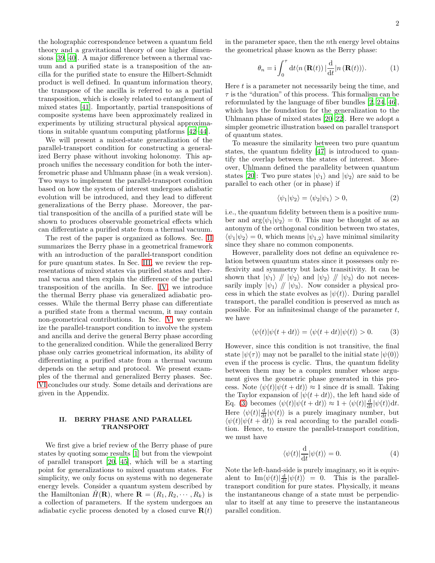the holographic correspondence between a quantum field theory and a gravitational theory of one higher dimensions [\[39,](#page-13-1) [40](#page-13-2)]. A major difference between a thermal vacuum and a purified state is a transposition of the ancilla for the purified state to ensure the Hilbert-Schmidt product is well defined. In quantum information theory, the transpose of the ancilla is referred to as a partial transposition, which is closely related to entanglement of mixed states [\[41](#page-13-3)]. Importantly, partial transpositions of composite systems have been approximately realized in experiments by utilizing structural physical approximations in suitable quantum computing platforms [\[42](#page-13-4)[–44\]](#page-13-5).

We will present a mixed-state generalization of the parallel-transport condition for constructing a generalized Berry phase without invoking holonomy. This approach unifies the necessary condition for both the interferometric phase and Uhlmann phase (in a weak version). Two ways to implement the parallel-transport condition based on how the system of interest undergoes adiabatic evolution will be introduced, and they lead to different generalizations of the Berry phase. Moreover, the partial transposition of the ancilla of a purified state will be shown to produces observable geometrical effects which can differentiate a purified state from a thermal vacuum.

The rest of the paper is organized as follows. Sec. [II](#page-1-0) summarizes the Berry phase in a geometrical framework with an introduction of the parallel-transport condition for pure quantum states. In Sec. [III,](#page-2-0) we review the representations of mixed states via purified states and thermal vacua and then explain the difference of the partial transposition of the ancilla. In Sec. [IV,](#page-4-0) we introduce the thermal Berry phase via generalized adiabatic processes. While the thermal Berry phase can differentiate a purified state from a thermal vacuum, it may contain non-geometrical contributions. In Sec. [V,](#page-6-0) we generalize the parallel-transport condition to involve the system and ancilla and derive the general Berry phase according to the generalized condition. While the generalized Berry phase only carries geometrical information, its ability of differentiating a purified state from a thermal vacuum depends on the setup and protocol. We present examples of the thermal and generalized Berry phases. Sec. [VI](#page-11-0) concludes our study. Some details and derivations are given in the Appendix.

## <span id="page-1-0"></span>II. BERRY PHASE AND PARALLEL TRANSPORT

We first give a brief review of the Berry phase of pure states by quoting some results [\[1\]](#page-12-0) but from the viewpoint of parallel transport [\[20,](#page-12-8) [45\]](#page-13-6), which will be a starting point for generalizations to mixed quantum states. For simplicity, we only focus on systems with no degenerate energy levels. Consider a quantum system described by the Hamiltonian  $H(\mathbf{R})$ , where  $\mathbf{R} = (R_1, R_2, \cdots, R_k)$  is a collection of parameters. If the system undergoes an adiabatic cyclic process denoted by a closed curve  $\mathbf{R}(t)$ 

in the parameter space, then the  $n$ <sup>th</sup> energy level obtains the geometrical phase known as the Berry phase:

<span id="page-1-3"></span>
$$
\theta_n = \mathbf{i} \int_0^\tau \mathrm{d}t \langle n(\mathbf{R}(t)) | \frac{\mathrm{d}}{\mathrm{d}t} | n(\mathbf{R}(t)) \rangle. \tag{1}
$$

Here  $t$  is a parameter not necessarily being the time, and  $\tau$  is the "duration" of this process. This formalism can be reformulated by the language of fiber bundles [\[2,](#page-12-1) [24,](#page-12-10) [46\]](#page-13-7), which lays the foundation for the generalization to the Uhlmann phase of mixed states [\[20](#page-12-8)[–22\]](#page-12-16). Here we adopt a simpler geometric illustration based on parallel transport of quantum states.

To measure the similarity between two pure quantum states, the quantum fidelity [\[47](#page-13-8)] is introduced to quantify the overlap between the states of interest. Moreover, Uhlmann defined the parallelity between quantum states [\[20](#page-12-8)]: Two pure states  $|\psi_1\rangle$  and  $|\psi_2\rangle$  are said to be parallel to each other (or in phase) if

$$
\langle \psi_1 | \psi_2 \rangle = \langle \psi_2 | \psi_1 \rangle > 0, \tag{2}
$$

i.e., the quantum fidelity between them is a positive number and  $\arg \langle \psi_1 | \psi_2 \rangle = 0$ . This may be thought of as an antonym of the orthogonal condition between two states,  $\langle \psi_1 | \psi_2 \rangle = 0$ , which means  $|\psi_{1,2}\rangle$  have minimal similarity since they share no common components.

However, parallelity does not define an equivalence relation between quantum states since it possesses only reflexivity and symmetry but lacks transitivity. It can be shown that  $|\psi_1\rangle$  //  $|\psi_2\rangle$  and  $|\psi_2\rangle$  //  $|\psi_3\rangle$  do not necessarily imply  $|\psi_1\rangle$  //  $|\psi_3\rangle$ . Now consider a physical process in which the state evolves as  $|\psi(t)\rangle$ . During parallel transport, the parallel condition is preserved as much as possible. For an infinitesimal change of the parameter  $t$ , we have

<span id="page-1-1"></span>
$$
\langle \psi(t) | \psi(t + \mathrm{d}t) \rangle = \langle \psi(t + \mathrm{d}t) | \psi(t) \rangle > 0. \tag{3}
$$

However, since this condition is not transitive, the final state  $|\psi(\tau)\rangle$  may not be parallel to the initial state  $|\psi(0)\rangle$ even if the process is cyclic. Thus, the quantum fidelity between them may be a complex number whose argument gives the geometric phase generated in this process. Note  $\langle \psi(t)|\psi(t + dt)\rangle \approx 1$  since dt is small. Taking the Taylor expansion of  $|\psi(t+dt)\rangle$ , the left hand side of Eq. [\(3\)](#page-1-1) becomes  $\langle \psi(t) | \psi(t + dt) \rangle \approx 1 + \langle \psi(t) | \frac{d}{dt} | \psi(t) \rangle dt$ . Here  $\langle \psi(t) | \frac{d}{dt} | \psi(t) \rangle$  is a purely imaginary number, but  $\langle \psi(t)|\psi(t + \ddot{d}t)\rangle$  is real according to the parallel condition. Hence, to ensure the parallel-transport condition, we must have

<span id="page-1-2"></span>
$$
\langle \psi(t)|\frac{\mathrm{d}}{\mathrm{d}t}|\psi(t)\rangle = 0.
$$
 (4)

Note the left-hand-side is purely imaginary, so it is equivalent to  $\text{Im}\langle\psi(t)|\frac{d}{dt}|\psi(t)\rangle = 0$ . This is the paralleltransport condition for pure states. Physically, it means the instantaneous change of a state must be perpendicular to itself at any time to preserve the instantaneous parallel condition.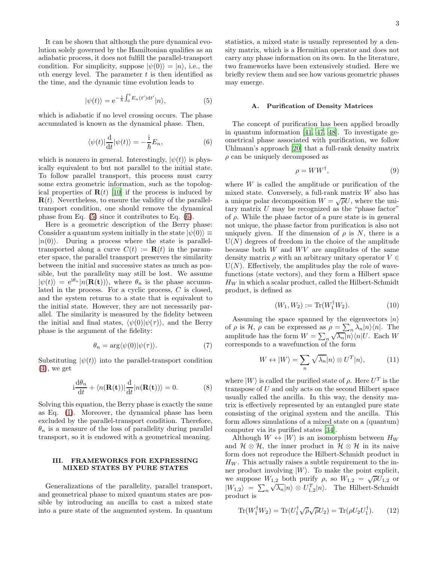It can be shown that although the pure dynamical evolution solely governed by the Hamiltonian qualifies as an adiabatic process, it does not fulfill the parallel-transport condition. For simplicity, suppose  $|\psi(0)\rangle = |n\rangle$ , i.e., the nth energy level. The parameter  $t$  is then identified as the time, and the dynamic time evolution leads to

$$
|\psi(t)\rangle = e^{-\frac{i}{\hbar}\int_0^t E_n(t')dt'}|n\rangle,
$$
\n(5)

which is adiabatic if no level crossing occurs. The phase accumulated is known as the dynamical phase. Then,

$$
\langle \psi(t)| \frac{\mathrm{d}}{\mathrm{d}t} | \psi(t) \rangle = -\frac{\mathrm{i}}{\hbar} E_n,\tag{6}
$$

which is nonzero in general. Interestingly,  $|\psi(t)\rangle$  is physically equivalent to but not parallel to the initial state. To follow parallel transport, this process must carry some extra geometric information, such as the topological properties of  $\mathbf{R}(t)$  [\[10\]](#page-12-4) if the process is induced by **. Nevertheless, to ensure the validity of the parallel**transport condition, one should remove the dynamical phase from Eq. [\(5\)](#page-2-1) since it contributes to Eq. [\(6\)](#page-2-2).

Here is a geometric description of the Berry phase: Consider a quantum system initially in the state  $|\psi(0)\rangle \equiv$  $|n(0)\rangle$ . During a process where the state is paralleltransported along a curve  $C(t) := \mathbf{R}(t)$  in the parameter space, the parallel transport preserves the similarity between the initial and successive states as much as possible, but the parallelity may still be lost. We assume  $|\psi(t)\rangle = e^{i\theta_n} |n(\mathbf{R}(t))\rangle$ , where  $\theta_n$  is the phase accumulated in the process. For a cyclic process, C is closed, and the system returns to a state that is equivalent to the initial state. However, they are not necessarily parallel. The similarity is measured by the fidelity between the initial and final states,  $\langle \psi(0)|\psi(\tau)\rangle$ , and the Berry phase is the argument of the fidelity:

$$
\theta_n = \arg \langle \psi(0) | \psi(\tau) \rangle. \tag{7}
$$

Substituting  $|\psi(t)\rangle$  into the parallel-transport condition  $(4)$ , we get

$$
i\frac{d\theta_n}{dt} + \langle n(\mathbf{R}(t))| \frac{d}{dt} |n(\mathbf{R}(t))\rangle = 0.
$$
 (8)

Solving this equation, the Berry phase is exactly the same as Eq. [\(1\)](#page-1-3). Moreover, the dynamical phase has been excluded by the parallel-transport condition. Therefore,  $\theta_n$  is a measure of the loss of parallelity during parallel transport, so it is endowed with a geometrical meaning.

## <span id="page-2-0"></span>III. FRAMEWORKS FOR EXPRESSING MIXED STATES BY PURE STATES

Generalizations of the parallelity, parallel transport, and geometrical phase to mixed quantum states are possible by introducing an ancilla to cast a mixed state into a pure state of the augmented system. In quantum

statistics, a mixed state is usually represented by a density matrix, which is a Hermitian operator and does not carry any phase information on its own. In the literature, two frameworks have been extensively studied. Here we briefly review them and see how various geometric phases may emerge.

#### A. Purification of Density Matrices

<span id="page-2-2"></span><span id="page-2-1"></span>The concept of purification has been applied broadly in quantum information [\[41](#page-13-3), [47,](#page-13-8) [48](#page-13-9)]. To investigate geometrical phase associated with purification, we follow Uhlmann's approach [\[20\]](#page-12-8) that a full-rank density matrix  $\rho$  can be uniquely decomposed as

$$
\rho = WW^{\dagger},\tag{9}
$$

where  $W$  is called the amplitude or purification of the mixed state. Conversely, a full-rank matrix W also has a unique polar decomposition  $W = \sqrt{\rho}U$ , where the unitary matrix  $U$  may be recognized as the "phase factor" of  $\rho$ . While the phase factor of a pure state is in general not unique, the phase factor from purification is also not uniquely given. If the dimension of  $\rho$  is N, there is a  $U(N)$  degrees of freedom in the choice of the amplitude because both  $W$  and  $WV$  are amplitudes of the same density matrix  $\rho$  with an arbitrary unitary operator  $V \in$  $U(N)$ . Effectively, the amplitudes play the role of wavefunctions (state vectors), and they form a Hilbert space  $H_W$  in which a scalar product, called the Hilbert-Schmidt product, is defined as

<span id="page-2-4"></span>
$$
(W_1, W_2) := \text{Tr}(W_1^{\top} W_2). \tag{10}
$$

Assuming the space spanned by the eigenvectors  $|n\rangle$ of  $\rho$  is  $\mathcal{H}, \rho$  can be expressed as  $\rho = \sum_n \lambda_n |n\rangle\langle n|$ . The amplitude has the form  $W = \sum_{n} \sqrt{\lambda_n} |n\rangle \langle n| U$ . Each W corresponds to a wavefunction of the form

$$
W \leftrightarrow |W\rangle = \sum_{n} \sqrt{\lambda_n} |n\rangle \otimes U^T |n\rangle, \tag{11}
$$

<span id="page-2-5"></span>where  $|W\rangle$  is called the purified state of  $\rho$ . Here  $U^T$  is the transpose of  $U$  and only acts on the second Hilbert space usually called the ancilla. In this way, the density matrix is effectively represented by an entangled pure state consisting of the original system and the ancilla. This form allows simulations of a mixed state on a (quantum) computer via its purified states [\[34](#page-12-14)].

Although  $W \leftrightarrow |W\rangle$  is an isomorphism between  $H_W$ and  $\mathcal{H} \otimes \mathcal{H}$ , the inner product in  $\mathcal{H} \otimes \mathcal{H}$  in its naive form does not reproduce the Hilbert-Schmidt product in  $H_W$ . This actually raises a subtle requirement to the inner product involving  $|W\rangle$ . To make the point explicit, we suppose  $W_{1,2}$  both purify  $\rho$ , so  $W_{1,2} = \sqrt{\rho}U_{1,2}$  or  $|W_{1,2}\rangle = \sum_{n} \sqrt{\lambda_n} |n\rangle \otimes U_{1,2}^T |n\rangle$ . The Hilbert-Schmidt product is

<span id="page-2-3"></span>
$$
\operatorname{Tr}(W_1^\dagger W_2) = \operatorname{Tr}(U_1^\dagger \sqrt{\rho} \sqrt{\rho} U_2) = \operatorname{Tr}(\rho U_2 U_1^\dagger). \tag{12}
$$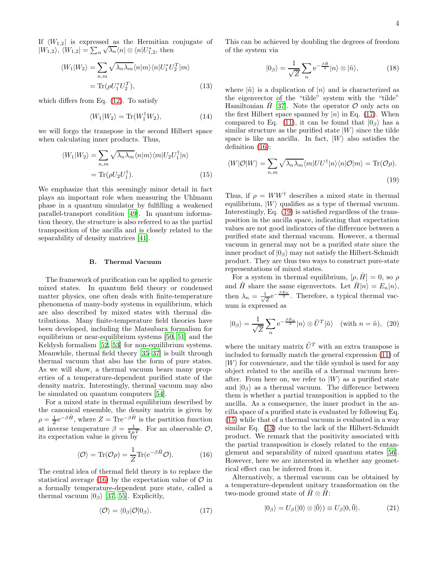If  $\langle W_{1,2} |$  is expressed as the Hermitian conjugate of  $|W_{1,2}\rangle$ ,  $\langle W_{1,2}| = \sum_{n} \sqrt{\lambda_n} \langle n | \otimes \langle n | U_{1,2}^* \rangle$ , then

$$
\langle W_1 | W_2 \rangle = \sum_{n,m} \sqrt{\lambda_n \lambda_m} \langle n | m \rangle \langle n | U_1^* U_2^T | m \rangle
$$
  
= Tr( $\rho U_1^* U_2^T$ ), (13)

which differs from Eq. [\(12\)](#page-2-3). To satisfy

$$
\langle W_1 | W_2 \rangle = \text{Tr}(W_1^\dagger W_2), \tag{14}
$$

we will forgo the transpose in the second Hilbert space when calculating inner products. Thus,

$$
\langle W_1 | W_2 \rangle = \sum_{n,m} \sqrt{\lambda_n \lambda_m} \langle n | m \rangle \langle m | U_2 U_1^{\dagger} | n \rangle
$$
  
= Tr( $\rho U_2 U_1^{\dagger}$ ). (15)

We emphasize that this seemingly minor detail in fact plays an important role when measuring the Uhlmann phase in a quantum simulator by fulfilling a weakened parallel-transport condition [\[49](#page-13-10)]. In quantum information theory, the structure is also referred to as the partial transposition of the ancilla and is closely related to the separability of density matrices [\[41](#page-13-3)].

## B. Thermal Vacuum

The framework of purification can be applied to generic mixed states. In quantum field theory or condensed matter physics, one often deals with finite-temperature phenomena of many-body systems in equilibrium, which are also described by mixed states with thermal distributions. Many finite-temperature field theories have been developed, including the Matsubara formalism for equilibrium or near-equilibrium systems [\[50,](#page-13-11) [51\]](#page-13-12) and the Keldysh formalism [\[52](#page-13-13), [53](#page-13-14)] for non-equilibrium systems. Meanwhile, thermal field theory [\[35](#page-12-15)[–37\]](#page-13-15) is built through thermal vacuum that also has the form of pure states. As we will show, a thermal vacuum bears many properties of a temperature-dependent purified state of the density matrix. Interestingly, thermal vacuum may also be simulated on quantum computers [\[54\]](#page-13-16).

For a mixed state in thermal equilibrium described by the canonical ensemble, the density matrix is given by  $\rho = \frac{1}{Z} e^{-\beta \hat{H}}$ , where  $Z = \text{Tr} e^{-\beta \hat{H}}$  is the partition function at inverse temperature  $\beta = \frac{1}{k_B T}$ . For an observable  $\mathcal{O}$ , its expectation value is given by

$$
\langle \mathcal{O} \rangle = \text{Tr}(\mathcal{O}\rho) = \frac{1}{Z} \text{Tr}(\mathrm{e}^{-\beta \hat{H}} \mathcal{O}). \tag{16}
$$

The central idea of thermal field theory is to replace the statistical average [\(16\)](#page-3-0) by the expectation value of  $\mathcal O$  in a formally temperature-dependent pure state, called a thermal vacuum  $|0_\beta\rangle$  [\[37,](#page-13-15) [55\]](#page-13-17). Explicitly,

<span id="page-3-1"></span>
$$
\langle \mathcal{O} \rangle = \langle 0_{\beta} | \mathcal{O} | 0_{\beta} \rangle. \tag{17}
$$

This can be achieved by doubling the degrees of freedom of the system via

$$
|0_{\beta}\rangle = \frac{1}{\sqrt{Z}} \sum_{n} e^{-\frac{\beta \hat{H}}{2}} |n\rangle \otimes |\tilde{n}\rangle, \qquad (18)
$$

<span id="page-3-6"></span><span id="page-3-4"></span>where  $|\tilde{n}\rangle$  is a duplication of  $|n\rangle$  and is characterized as the eigenvector of the "tilde" system with the "tilde" Hamiltonian  $\hat{H}$  [\[37\]](#page-13-15). Note the operator  $\hat{O}$  only acts on the first Hilbert space spanned by  $|n\rangle$  in Eq. [\(17\)](#page-3-1). When compared to Eq. [\(11\)](#page-2-4), it can be found that  $|0_{\beta}\rangle$  has a similar structure as the purified state  $|W\rangle$  since the tilde space is like an ancilla. In fact,  $|W\rangle$  also satisfies the definition [\(16\)](#page-3-0):

<span id="page-3-3"></span><span id="page-3-2"></span>
$$
\langle W|\mathcal{O}|W\rangle = \sum_{n,m} \sqrt{\lambda_n \lambda_m} \langle m|UU^{\dagger}|n\rangle \langle n|\mathcal{O}|m\rangle = \text{Tr}(\mathcal{O}\rho).
$$
\n(19)

Thus, if  $\rho = WW^{\dagger}$  describes a mixed state in thermal equilibrium,  $|W\rangle$  qualifies as a type of thermal vacuum. Interestingly, Eq. [\(19\)](#page-3-2) is satisfied regardless of the transposition in the ancilla space, indicating that expectation values are not good indicators of the difference between a purified state and thermal vacuum. However, a thermal vacuum in general may not be a purified state since the inner product of  $|0_{\beta}\rangle$  may not satisfy the Hilbert-Schmidt product. They are thus two ways to construct pure-state representations of mixed states.

For a system in thermal equilibrium,  $[\rho, \hat{H}] = 0$ , so  $\rho$ and  $\hat{H}$  share the same eigenvectors. Let  $\hat{H}|n\rangle = E_n|n\rangle$ , then  $\lambda_n = \frac{1}{\sqrt{2}}$  $\frac{1}{\overline{Z}}e^{-\frac{\beta E_n}{2}}$ . Therefore, a typical thermal vacuum is expressed as

<span id="page-3-5"></span>
$$
|0_{\beta}\rangle = \frac{1}{\sqrt{Z}} \sum_{n} e^{-\frac{\beta E_n}{2}} |n\rangle \otimes \tilde{U}^T |\tilde{n}\rangle \quad (\text{with } n = \tilde{n}), \tag{20}
$$

where the unitary matrix  $\tilde{U}^T$  with an extra transpose is included to formally match the general expression [\(11\)](#page-2-4) of  $|W\rangle$  for convenience, and the tilde symbol is used for any object related to the ancilla of a thermal vacuum hereafter. From here on, we refer to  $|W\rangle$  as a purified state and  $|0_\beta\rangle$  as a thermal vacuum. The difference between them is whether a partial transposition is applied to the ancilla. As a consequence, the inner product in the ancilla space of a purified state is evaluated by following Eq. [\(15\)](#page-3-3) while that of a thermal vacuum is evaluated in a way similar Eq. [\(13\)](#page-3-4) due to the lack of the Hilbert-Schmidt product. We remark that the positivity associated with the partial transposition is closely related to the entanglement and separability of mixed quantum states [\[56\]](#page-13-18). However, here we are interested in whether any geometrical effect can be inferred from it.

<span id="page-3-0"></span>Alternatively, a thermal vacuum can be obtained by a temperature-dependent unitary transformation on the two-mode ground state of  $H \otimes H$ :

$$
|0_{\beta}\rangle = U_{\beta}(|0\rangle \otimes |\tilde{0}\rangle) \equiv U_{\beta}|0,\tilde{0}\rangle. \tag{21}
$$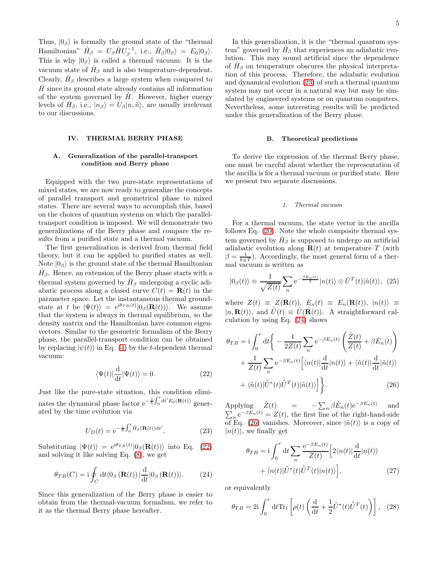Thus,  $|0_\beta\rangle$  is formally the ground state of the "thermal" Hamiltonian"  $\hat{H}_{\beta} = U_{\beta} \hat{H} U_{\beta}^{-1}$ , i.e.,  $\hat{H}_{\beta} |0_{\beta}\rangle = E_0 |0_{\beta}\rangle$ . This is why  $|0_{\beta}\rangle$  is called a thermal vacuum: It is the vacuum state of  $\hat{H}_{\beta}$  and is also temperature-dependent. Clearly,  $\hat{H}_{\beta}$  describes a large system when compared to  $H$  since its ground state already contains all information of the system governed by  $H$ . However, higher energy levels of  $\hat{H}_{\beta}$ , i.e.,  $|n_{\beta}\rangle = U_{\beta}|n,\tilde{n}\rangle$ , are usually irrelevant to our discussions.

#### <span id="page-4-0"></span>IV. THERMAL BERRY PHASE

## A. Generalization of the parallel-transport condition and Berry phase

Equipped with the two pure-state representations of mixed states, we are now ready to generalize the concepts of parallel transport and geometrical phase to mixed states. There are several ways to accomplish this, based on the choices of quantum systems on which the paralleltransport condition is imposed. We will demonstrate two generalizations of the Berry phase and compare the results from a purified state and a thermal vacuum.

The first generalization is derived from thermal field theory, but it can be applied to purified states as well. Note  $|0_{\beta}\rangle$  is the ground state of the thermal Hamiltonian  $\hat{H}_{\beta}$ . Hence, an extension of the Berry phase starts with a thermal system governed by  $\hat{H}_{\beta}$  undergoing a cyclic adiabatic process along a closed curve  $C(t) = \mathbf{R}(t)$  in the parameter space. Let the instantaneous thermal groundstate at t be  $|\Psi(t)\rangle = e^{i\theta_{TB}(t)}|0\rangle \langle \mathbf{R}(t)\rangle$ . We assume that the system is always in thermal equilibrium, so the density matrix and the Hamiltonian have common eigenvectors. Similar to the geometric formalism of the Berry phase, the parallel-transport condition can be obtained by replacing  $|\psi(t)\rangle$  in Eq. [\(4\)](#page-1-2) by the t-dependent thermal vacuum:

<span id="page-4-1"></span>
$$
\langle \Psi(t)|\frac{\mathrm{d}}{\mathrm{d}t}|\Psi(t)\rangle = 0.
$$
 (22)

Just like the pure-state situation, this condition eliminates the dynamical phase factor  $e^{-\frac{1}{\hbar}\int_0^t dt' E_0(\mathbf{R}(t))}$  generated by the time evolution via

<span id="page-4-2"></span>
$$
U_D(t) = e^{-\frac{i}{\hbar} \int_0^t \hat{H}_{\beta}(\mathbf{R}(t)) dt'}.
$$
 (23)

Substituting  $|\Psi(t)\rangle = e^{i\theta_{TB}(t)}|0\rangle \rho(\mathbf{R}(t))\rangle$  into Eq. [\(22\)](#page-4-1) and solving it like solving Eq. [\(8\)](#page-2-5), we get

$$
\theta_{TB}(C) = \mathrm{i} \oint_C \mathrm{d}t \langle 0_\beta (\mathbf{R}(t)) | \frac{\mathrm{d}}{\mathrm{d}t} | 0_\beta (\mathbf{R}(t)) \rangle. \tag{24}
$$

Since this generalization of the Berry phase is easier to obtain from the thermal-vacuum formalism, we refer to it as the thermal Berry phase hereafter.

In this generalization, it is the "thermal quantum system" governed by  $\hat{H}_{\beta}$  that experiences an adiabatic evolution. This may sound artificial since the dependence of  $\hat{H}_{\beta}$  on temperature obscures the physical interpretation of this process. Therefore, the adiabatic evolution and dynamical evolution [\(23\)](#page-4-2) of such a thermal quantum system may not occur in a natural way but may be simulated by engineered systems or on quantum computers. Nevertheless, some interesting results will be predicted under this generalization of the Berry phase.

#### B. Theoretical predictions

To derive the expression of the thermal Berry phase, one must be careful about whether the representation of the ancilla is for a thermal vacuum or purified state. Here we present two separate discussions.

#### <span id="page-4-5"></span>*1. Thermal vacuum*

For a thermal vacuum, the state vector in the ancilla follows Eq. [\(20\)](#page-3-5). Note the whole composite thermal system governed by  $\hat{H}_{\beta}$  is supposed to undergo an artificial adiabatic evolution along  $\mathbf{R}(t)$  at temperature T (with  $\beta = \frac{1}{k_B T}$ . Accordingly, the most general form of a thermal vacuum is written as

$$
|0_{\beta}(t)\rangle \equiv \frac{1}{\sqrt{Z(t)}}\sum_{n} e^{-\frac{\beta E_{n}(t)}{2}}|n(t)\rangle \otimes \tilde{U}^{T}(t)|\tilde{n}(t)\rangle, (25)
$$

where  $Z(t) \equiv Z(\mathbf{R}(t)), E_n(t) \equiv E_n(\mathbf{R}(t)), |n(t)\rangle \equiv$  $|n, \mathbf{R}(t)\rangle$ , and  $\hat{U}(t) \equiv \hat{U}(\mathbf{R}(t))$ . A straightforward calculation by using Eq. [\(24\)](#page-4-3) shows

$$
\theta_{TB} = i \int_0^{\tau} dt \left\{ -\frac{1}{2Z(t)} \sum_n e^{-\beta E_n(t)} \left( \frac{\dot{Z}(t)}{Z(t)} + \beta \dot{E}_n(t) \right) + \frac{1}{Z(t)} \sum_n e^{-\beta E_n(t)} \left[ \langle n(t) | \frac{d}{dt} | n(t) \rangle + \langle \tilde{n}(t) | \frac{d}{dt} | \tilde{n}(t) \rangle + \langle \tilde{n}(t) | \tilde{U}^*(t) \dot{\tilde{U}}^T(t) | \tilde{n}(t) \rangle \right] \right\}.
$$
\n(26)

Applying  $\dot{Z}(t) = -\sum_n \beta \dot{E}_n(t) e^{-\beta E_n(t)}$  and  $\sum_{n} e^{-\beta E_n(t)} = Z(t)$ , the first line of the right-hand-side of Eq. [\(26\)](#page-4-4) vanishes. Moreover, since  $|\tilde{n}(t)\rangle$  is a copy of  $|n(t)\rangle$ , we finally get

<span id="page-4-6"></span><span id="page-4-4"></span>
$$
\theta_{TB} = i \int_0^{\tau} dt \sum_n \frac{e^{-\beta E_n(t)}}{Z(t)} \Big[ 2\langle n(t)| \frac{d}{dt} | n(t) \rangle + \langle n(t) | \tilde{U}^*(t) \tilde{U}^T(t) | n(t) \rangle \Big], \tag{27}
$$

<span id="page-4-3"></span>or equivalently

$$
\theta_{TB} = 2\mathbf{i} \int_0^\tau \mathrm{d}t \mathrm{Tr}_t \left[ \rho(t) \left( \frac{\mathrm{d}}{\mathrm{d}t} + \frac{1}{2} \tilde{U}^*(t) \dot{\tilde{U}}^T(t) \right) \right], \quad (28)
$$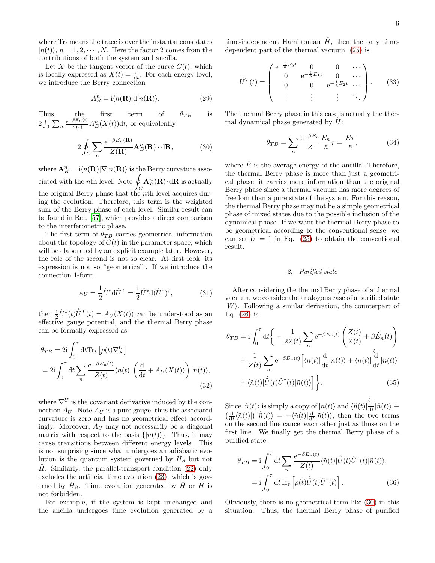where  $\text{Tr}_t$  means the trace is over the instantaneous states  $|n(t)\rangle$ ,  $n = 1, 2, \cdots, N$ . Here the factor 2 comes from the contributions of both the system and ancilla.

Let X be the tangent vector of the curve  $C(t)$ , which is locally expressed as  $X(t) = \frac{d}{dt}$ . For each energy level, we introduce the Berry connection

$$
A_B^n = \mathrm{i} \langle n(\mathbf{R}) | \mathrm{d} | n(\mathbf{R}) \rangle. \tag{29}
$$

Thus, the first term of  $\theta_{TB}$  is  $2\int_0^{\tau} \sum_n \frac{e^{-\beta E_n(t)}}{Z(t)} A^n_B(X(t)) dt$ , or equivalently

$$
2\oint_C \sum_n \frac{e^{-\beta E_n(\mathbf{R})}}{Z(\mathbf{R})} \mathbf{A}_B^n(\mathbf{R}) \cdot d\mathbf{R},
$$
 (30)

where  $\mathbf{A}_{B}^{n} = \mathrm{i}\langle n(\mathbf{R})|\nabla|n(\mathbf{R})\rangle$  is the Berry curvature associated with the *n*th level. Note  $\varphi$  $\mathcal{C}_{0}^{(n)}$  ${\bf A}_B^n({\bf R})\cdot d{\bf R}$  is actually the original Berry phase that the nth level acquires during the evolution. Therefore, this term is the weighted sum of the Berry phase of each level. Similar result can be found in Ref. [\[57\]](#page-13-19), which provides a direct comparison to the interferometric phase.

The first term of  $\theta_{TB}$  carries geometrical information about the topology of  $C(t)$  in the parameter space, which will be elaborated by an explicit example later. However, the role of the second is not so clear. At first look, its expression is not so "geometrical". If we introduce the connection 1-form

$$
A_U = \frac{1}{2}\tilde{U}^*d\tilde{U}^T = \frac{1}{2}\tilde{U}^*d(\tilde{U}^*)^{\dagger},\tag{31}
$$

then  $\frac{1}{2}\tilde{U}^*(t)\dot{\tilde{U}}^T(t) = A_U(X(t))$  can be understood as an effective gauge potential, and the thermal Berry phase can be formally expressed as

$$
\theta_{TB} = 2i \int_0^{\tau} dt \text{Tr}_t \left[ \rho(t) \nabla_X^U \right]
$$
  
=  $2i \int_0^{\tau} dt \sum_n \frac{e^{-\beta E_n(t)}}{Z(t)} \langle n(t) | \left( \frac{d}{dt} + A_U(X(t)) \right) | n(t) \rangle,$  (32)

where  $\nabla^U$  is the covariant derivative induced by the connection  $A_U$ . Note  $A_U$  is a pure gauge, thus the associated curvature is zero and has no geometrical effect accordingly. Moreover,  $A_U$  may not necessarily be a diagonal matrix with respect to the basis  $\{|n(t)\rangle\}$ . Thus, it may cause transitions between different energy levels. This is not surprising since what undergoes an adiabatic evolution is the quantum system governed by  $\hat{H}_{\beta}$  but not  $\hat{H}$ . Similarly, the parallel-transport condition [\(22\)](#page-4-1) only excludes the artificial time evolution [\(23\)](#page-4-2), which is governed by  $\hat{H}_{\beta}$ . Time evolution generated by  $\hat{H}$  or  $\tilde{H}$  is not forbidden.

For example, if the system is kept unchanged and the ancilla undergoes time evolution generated by a

time-independent Hamiltonian  $\tilde{H}$ , then the only timedependent part of the thermal vacuum [\(25\)](#page-4-5) is

$$
\tilde{U}^{T}(t) = \begin{pmatrix} e^{-\frac{i}{\hbar}E_{0}t} & 0 & 0 & \cdots \\ 0 & e^{-\frac{i}{\hbar}E_{1}t} & 0 & \cdots \\ 0 & 0 & e^{-\frac{i}{\hbar}E_{2}t} & \cdots \\ \vdots & \vdots & \vdots & \ddots \end{pmatrix}.
$$
 (33)

The thermal Berry phase in this case is actually the thermal dynamical phase generated by  $\hat{H}$ :

<span id="page-5-1"></span>
$$
\theta_{TB} = \sum_{n} \frac{e^{-\beta E_n}}{Z} \frac{E_n}{\hbar} \tau = \frac{\bar{E}\tau}{\hbar},\tag{34}
$$

<span id="page-5-0"></span>where  $\bar{E}$  is the average energy of the ancilla. Therefore, the thermal Berry phase is more than just a geometrical phase, it carries more information than the original Berry phase since a thermal vacuum has more degrees of freedom than a pure state of the system. For this reason, the thermal Berry phase may not be a simple geometrical phase of mixed states due to the possible inclusion of the dynamical phase. If we want the thermal Berry phase to be geometrical according to the conventional sense, we can set  $U = 1$  in Eq. [\(25\)](#page-4-5) to obtain the conventional result.

#### *2. Purified state*

After considering the thermal Berry phase of a thermal vacuum, we consider the analogous case of a purified state  $|W\rangle$ . Following a similar derivation, the counterpart of Eq. [\(26\)](#page-4-4) is

$$
\theta_{TB} = i \int_0^{\tau} dt \left\{ -\frac{1}{2Z(t)} \sum_n e^{-\beta E_n(t)} \left( \frac{\dot{Z}(t)}{Z(t)} + \beta \dot{E}_n(t) \right) \right. \\
\left. + \frac{1}{Z(t)} \sum_n e^{-\beta E_n(t)} \left[ \langle n(t) | \frac{d}{dt} | n(t) \rangle + \langle \tilde{n}(t) | \frac{d}{dt} | \tilde{n}(t) \rangle \right. \\
\left. + \langle \tilde{n}(t) | \dot{\tilde{U}}(t) \tilde{U}^\dagger(t) | \tilde{n}(t) \rangle \right] \right\}.
$$
\n(35)

Since  $|\tilde{n}(t)\rangle$  is simply a copy of  $|n(t)\rangle$  and  $\langle \tilde{n}(t)|\frac{\overleftarrow{d}}{dt}|\tilde{n}(t)\rangle \equiv$  $\left(\frac{d}{dt}\langle \tilde{n}(t)|\right)|\tilde{\tilde{n}}(t)\rangle = -\langle \tilde{n}(t)|\frac{d}{dt}|\tilde{n}(t)\rangle$ , then the two terms on the second line cancel each other just as those on the first line. We finally get the thermal Berry phase of a purified state:

$$
\theta_{TB} = \mathbf{i} \int_0^{\tau} dt \sum_n \frac{e^{-\beta E_n(t)}}{Z(t)} \langle \tilde{n}(t) | \dot{\tilde{U}}(t) \tilde{U}^\dagger(t) | \tilde{n}(t) \rangle,
$$
  

$$
= \mathbf{i} \int_0^{\tau} dt \text{Tr}_t \left[ \rho(t) \dot{\tilde{U}}(t) \tilde{U}^\dagger(t) \right]. \tag{36}
$$

Obviously, there is no geometrical term like [\(30\)](#page-5-0) in this situation. Thus, the thermal Berry phase of purified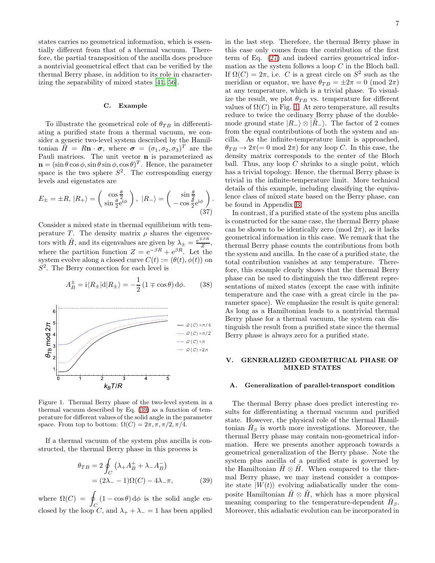states carries no geometrical information, which is essentially different from that of a thermal vacuum. Therefore, the partial transposition of the ancilla does produce a nontrivial geometrical effect that can be verified by the thermal Berry phase, in addition to its role in characterizing the separability of mixed states [\[41,](#page-13-3) [56\]](#page-13-18).

#### <span id="page-6-3"></span>C. Example

To illustrate the geometrical role of  $\theta_{TB}$  in differentiating a purified state from a thermal vacuum, we consider a generic two-level system described by the Hamiltonian  $\hat{H} = R\mathbf{n} \cdot \boldsymbol{\sigma}$ , where  $\boldsymbol{\sigma} = (\sigma_1, \sigma_2, \sigma_3)^T$  are the Pauli matrices. The unit vector n is parameterized as  $\mathbf{n} = (\sin \theta \cos \phi, \sin \theta \sin \phi, \cos \theta)^T$ . Hence, the parameter space is the two sphere  $S^2$ . The corresponding energy levels and eigenstates are

$$
E_{\pm} = \pm R, |R_{+}\rangle = \begin{pmatrix} \cos \frac{\theta}{2} \\ \sin \frac{\theta}{2} e^{i\phi} \end{pmatrix}, |R_{-}\rangle = \begin{pmatrix} \sin \frac{\theta}{2} \\ -\cos \frac{\theta}{2} e^{i\phi} \end{pmatrix}.
$$
\n(37)

Consider a mixed state in thermal equilibrium with temperature T. The density matrix  $\rho$  shares the eigenvectors with  $\hat{H}$ , and its eigenvalues are given by  $\lambda_{\pm} = \frac{e^{\mp \beta R}}{Z}$  $\frac{1}{Z}$ , where the partition function  $Z = e^{-\beta R} + e^{\beta R}$ . Let the system evolve along a closed curve  $C(t) := (\theta(t), \phi(t))$  on S 2 . The Berry connection for each level is

$$
A_B^{\pm} = \mathrm{i} \langle R_{\pm} | \mathrm{d} | R_{\pm} \rangle = -\frac{1}{2} \left( 1 \mp \cos \theta \right) \mathrm{d} \phi. \tag{38}
$$



<span id="page-6-2"></span>Figure 1. Thermal Berry phase of the two-level system in a thermal vacuum described by Eq. [\(39\)](#page-6-1) as a function of temperature for different values of the solid angle in the parameter space. From top to bottom:  $\Omega(C) = 2\pi, \pi, \pi/2, \pi/4$ .

If a thermal vacuum of the system plus ancilla is constructed, the thermal Berry phase in this process is

$$
\theta_{TB} = 2 \oint_C (\lambda_+ A_B^+ + \lambda_- A_B^-)
$$
  
=  $(2\lambda_- - 1)\Omega(C) - 4\lambda_- \pi$ , (39)

where  $\Omega(C) = 1$  $\frac{b}{C}$  (1 – cos  $\theta$ ) d $\phi$  is the solid angle enclosed by the loop C, and  $\lambda_+ + \lambda_- = 1$  has been applied in the last step. Therefore, the thermal Berry phase in this case only comes from the contribution of the first term of Eq. [\(27\)](#page-4-6) and indeed carries geometrical information as the system follows a loop  $C$  in the Bloch ball. If  $\Omega(C) = 2\pi$ , i.e. C is a great circle on  $S^2$  such as the meridian or equator, we have  $\theta_{TB} = \pm 2\pi = 0 \pmod{2\pi}$ at any temperature, which is a trivial phase. To visualize the result, we plot  $\theta_{TB}$  vs. temperature for different values of  $\Omega(C)$  in Fig. [1.](#page-6-2) At zero temperature, all results reduce to twice the ordinary Berry phase of the doublemode ground state  $|R_-\rangle \otimes |R_-\rangle$ . The factor of 2 comes from the equal contributions of both the system and ancilla. As the infinite-temperature limit is approached,  $\theta_{TB} \rightarrow 2\pi (= 0 \text{ mod } 2\pi)$  for any loop C. In this case, the density matrix corresponds to the center of the Bloch ball. Thus, any loop  $C$  shrinks to a single point, which has a trivial topology. Hence, the thermal Berry phase is trivial in the infinite-temperature limit. More technical details of this example, including classifying the equivalence class of mixed state based on the Berry phase, can be found in Appendix [B.](#page-11-1)

In contrast, if a purified state of the system plus ancilla is constructed for the same case, the thermal Berry phase can be shown to be identically zero (mod  $2\pi$ ), as it lacks geometrical information in this case. We remark that the thermal Berry phase counts the contributions from both the system and ancilla. In the case of a purified state, the total contribution vanishes at any temperature. Therefore, this example clearly shows that the thermal Berry phase can be used to distinguish the two different representations of mixed states (except the case with infinite temperature and the case with a great circle in the parameter space). We emphasize the result is quite general: As long as a Hamiltonian leads to a nontrivial thermal Berry phase for a thermal vacuum, the system can distinguish the result from a purified state since the thermal Berry phase is always zero for a purified state.

## <span id="page-6-0"></span>V. GENERALIZED GEOMETRICAL PHASE OF MIXED STATES

#### A. Generalization of parallel-transport condition

<span id="page-6-1"></span>The thermal Berry phase does predict interesting results for differentiating a thermal vacuum and purified state. However, the physical role of the thermal Hamiltonian  $\hat{H}_{\beta}$  is worth more investigations. Moreover, the thermal Berry phase may contain non-geometrical information. Here we presents another approach towards a geometrical generalization of the Berry phase. Note the system plus ancilla of a purified state is governed by the Hamiltonian  $\hat{H} \otimes \hat{H}$ . When compared to the thermal Berry phase, we may instead consider a composite state  $|W(t)\rangle$  evolving adiabatically under the composite Hamiltonian  $\hat{H} \otimes \hat{H}$ , which has a more physical meaning comparing to the temperature-dependent  $\hat{H}_{\beta}$ . Moreover, this adiabatic evolution can be incorporated in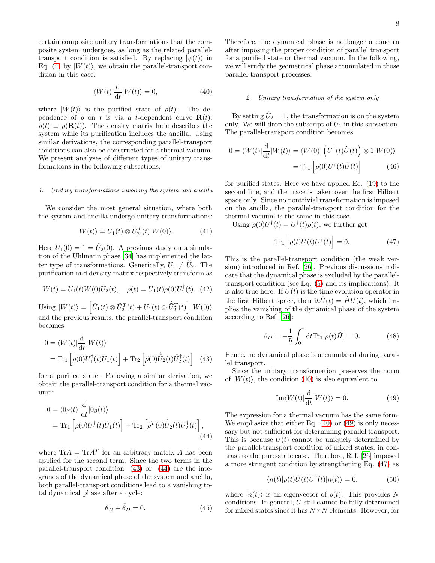certain composite unitary transformations that the composite system undergoes, as long as the related paralleltransport condition is satisfied. By replacing  $|\psi(t)\rangle$  in Eq. [\(4\)](#page-1-2) by  $|W(t)\rangle$ , we obtain the parallel-transport condition in this case:

$$
\langle W(t)|\frac{\mathrm{d}}{\mathrm{d}t}|W(t)\rangle = 0,\tag{40}
$$

where  $|W(t)\rangle$  is the purified state of  $\rho(t)$ . The dependence of  $\rho$  on t is via a t-dependent curve  $\mathbf{R}(t)$ :  $\rho(t) \equiv \rho(\mathbf{R}(t))$ . The density matrix here describes the system while its purification includes the ancilla. Using similar derivations, the corresponding parallel-transport conditions can also be constructed for a thermal vacuum. We present analyses of different types of unitary transformations in the following subsections.

## *1. Unitary transformations involving the system and ancilla*

We consider the most general situation, where both the system and ancilla undergo unitary transformations:

$$
|W(t)\rangle = U_1(t) \otimes \tilde{U}_2^T(t)|W(0)\rangle.
$$
 (41)

Here  $U_1(0) = 1 = \tilde{U}_2(0)$ . A previous study on a simulation of the Uhlmann phase [\[34\]](#page-12-14) has implemented the latter type of transformations. Generically,  $U_1 \neq \tilde{U}_2$ . The purification and density matrix respectively transform as

$$
W(t) = U_1(t)W(0)\tilde{U}_2(t), \quad \rho(t) = U_1(t)\rho(0)U_1^{\dagger}(t). \tag{42}
$$

Using  $|\dot{W}(t)\rangle = \left[\dot{U}_1(t) \otimes \tilde{U}_2^T(t) + U_1(t) \otimes \dot{\tilde{U}}_2^T(t)\right] |W(0)\rangle$ and the previous results, the parallel-transport condition becomes

$$
0 = \langle W(t)|\frac{d}{dt}|W(t)\rangle
$$
  
= Tr<sub>1</sub>  $\left[\rho(0)U_1^{\dagger}(t)\dot{U}_1(t)\right] + Tr_2 \left[\tilde{\rho}(0)\dot{\tilde{U}}_2(t)\tilde{U}_2^{\dagger}(t)\right]$  (43)

for a purified state. Following a similar derivation, we obtain the parallel-transport condition for a thermal vacuum:

$$
0 = \langle 0_{\beta}(t)| \frac{d}{dt} | 0_{\beta}(t) \rangle
$$
  
= Tr<sub>1</sub>  $\left[ \rho(0) U_1^{\dagger}(t) \dot{U}_1(t) \right] + Tr_2 \left[ \tilde{\rho}^T(0) \dot{\tilde{U}}_2(t) \tilde{U}_2^{\dagger}(t) \right],$  (44)

where  $\text{Tr}A = \text{Tr}A^T$  for an arbitrary matrix A has been applied for the second term. Since the two terms in the parallel-transport condition [\(43\)](#page-7-0) or [\(44\)](#page-7-1) are the integrands of the dynamical phase of the system and ancilla, both parallel-transport conditions lead to a vanishing total dynamical phase after a cycle:

$$
\theta_D + \tilde{\theta}_D = 0. \tag{45}
$$

Therefore, the dynamical phase is no longer a concern after imposing the proper condition of parallel transport for a purified state or thermal vacuum. In the following, we will study the geometrical phase accumulated in those parallel-transport processes.

## *2. Unitary transformation of the system only*

<span id="page-7-2"></span>By setting  $\tilde{U}_2 = 1$ , the transformation is on the system only. We will drop the subscript of  $U_1$  in this subsection. The parallel-transport condition becomes

$$
0 = \langle W(t)|\frac{d}{dt}|W(t)\rangle = \langle W(0)|\left(U^{\dagger}(t)\dot{U}(t)\right) \otimes 1|W(0)\rangle
$$

$$
= \text{Tr}_{1}\left[\rho(0)U^{\dagger}(t)\dot{U}(t)\right] \tag{46}
$$

for purified states. Here we have applied Eq. [\(19\)](#page-3-2) to the second line, and the trace is taken over the first Hilbert space only. Since no nontrivial transformation is imposed on the ancilla, the parallel-transport condition for the thermal vacuum is the same in this case.

Using  $\rho(0)U^{\dagger}(t) = U^{\dagger}(t)\rho(t)$ , we further get

<span id="page-7-4"></span>
$$
\operatorname{Tr}_{1}\left[\rho(t)\dot{U}(t)U^{\dagger}(t)\right] = 0. \tag{47}
$$

This is the parallel-transport condition (the weak version) introduced in Ref. [\[26](#page-12-12)]. Previous discussions indicate that the dynamical phase is excluded by the paralleltransport condition (see Eq. [\(5\)](#page-2-1) and its implications). It is also true here. If  $U(t)$  is the time evolution operator in the first Hilbert space, then  $i\hbar\dot{U}(t) = \hat{H}U(t)$ , which implies the vanishing of the dynamical phase of the system according to Ref. [\[26\]](#page-12-12):

$$
\theta_D = -\frac{1}{\hbar} \int_0^{\tau} dt \text{Tr}_1[\rho(t)\hat{H}] = 0.
$$
 (48)

<span id="page-7-0"></span>Hence, no dynamical phase is accumulated during parallel transport.

Since the unitary transformation preserves the norm of  $|W(t)\rangle$ , the condition [\(40\)](#page-7-2) is also equivalent to

<span id="page-7-3"></span>
$$
\operatorname{Im}\langle W(t)|\frac{\mathrm{d}}{\mathrm{d}t}|W(t)\rangle = 0.\tag{49}
$$

<span id="page-7-1"></span>The expression for a thermal vacuum has the same form. We emphasize that either Eq.  $(40)$  or  $(49)$  is only necessary but not sufficient for determining parallel transport. This is because  $U(t)$  cannot be uniquely determined by the parallel-transport condition of mixed states, in contrast to the pure-state case. Therefore, Ref. [\[26\]](#page-12-12) imposed a more stringent condition by strengthening Eq. [\(47\)](#page-7-4) as

<span id="page-7-5"></span>
$$
\langle n(t)|\rho(t)\dot{U}(t)U^{\dagger}(t)|n(t)\rangle = 0, \qquad (50)
$$

where  $|n(t)\rangle$  is an eigenvector of  $\rho(t)$ . This provides N conditions. In general, U still cannot be fully determined for mixed states since it has  $N \times N$  elements. However, for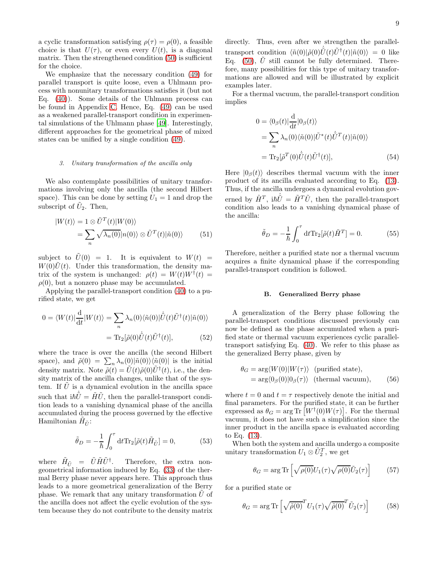a cyclic transformation satisfying  $\rho(\tau) = \rho(0)$ , a feasible choice is that  $U(\tau)$ , or even every  $U(t)$ , is a diagonal matrix. Then the strengthened condition [\(50\)](#page-7-5) is sufficient for the choice.

We emphasize that the necessary condition [\(49\)](#page-7-3) for parallel transport is quite loose, even a Uhlmann process with nonunitary transformations satisfies it (but not Eq. [\(40\)](#page-7-2)). Some details of the Uhlmann process can be found in Appendix [C.](#page-12-17) Hence, Eq. [\(49\)](#page-7-3) can be used as a weakened parallel-transport condition in experimental simulations of the Uhlmann phase [\[49\]](#page-13-10). Interestingly, different approaches for the geometrical phase of mixed states can be unified by a single condition [\(49\)](#page-7-3).

## <span id="page-8-4"></span>*3. Unitary transformation of the ancilla only*

We also contemplate possibilities of unitary transformations involving only the ancilla (the second Hilbert space). This can be done by setting  $U_1 = 1$  and drop the subscript of  $\tilde{U}_2$ . Then,

$$
|W(t)\rangle = 1 \otimes \tilde{U}^T(t)|W(0)\rangle
$$
  
= 
$$
\sum_{n} \sqrt{\lambda_n(0)} |n(0)\rangle \otimes \tilde{U}^T(t)|\tilde{n}(0)\rangle
$$
 (51)

subject to  $\tilde{U}(0) = 1$ . It is equivalent to  $W(t) =$  $W(0)\tilde{U}(t)$ . Under this transformation, the density matrix of the system is unchanged:  $\rho(t) = W(t)W^{\dagger}(t) =$  $\rho(0)$ , but a nonzero phase may be accumulated.

Applying the parallel-transport condition [\(40\)](#page-7-2) to a purified state, we get

$$
0 = \langle W(t)|\frac{d}{dt}|W(t)\rangle = \sum_{n} \lambda_n(0)\langle \tilde{n}(0)|\dot{\tilde{U}}(t)\tilde{U}^\dagger(t)|\tilde{n}(0)\rangle
$$

$$
= \text{Tr}_2[\tilde{\rho}(0)\dot{\tilde{U}}(t)\tilde{U}^\dagger(t)], \qquad (52)
$$

where the trace is over the ancilla (the second Hilbert space), and  $\tilde{\rho}(0) = \sum_n \lambda_n(0) |\tilde{n}(0)\rangle\langle \tilde{n}(0)|$  is the initial density matrix. Note  $\tilde{\rho}(t) = \tilde{U}(t)\tilde{\rho}(0)\tilde{U}^{\dagger}(t)$ , i.e., the density matrix of the ancilla changes, unlike that of the system. If  $\hat{U}$  is a dynamical evolution in the ancilla space such that  ${\rm i}\hbar\tilde{U}=\tilde{H}\tilde{U},$  then the parallel-transport condition leads to a vanishing dynamical phase of the ancilla accumulated during the process governed by the effective Hamiltonian  $\tilde{H}_{\tilde{U}}$ :

$$
\tilde{\theta}_D = -\frac{1}{\hbar} \int_0^\tau dt \text{Tr}_2[\tilde{\rho}(t)\tilde{H}_{\tilde{U}}] = 0,
$$
\n(53)

where  $\tilde{H}_{\tilde{U}} = \tilde{U} \tilde{H} \tilde{U}^{\dagger}$ . Therefore, the extra nongeometrical information induced by Eq. [\(33\)](#page-5-1) of the thermal Berry phase never appears here. This approach thus leads to a more geometrical generalization of the Berry phase. We remark that any unitary transformation  $U$  of the ancilla does not affect the cyclic evolution of the system because they do not contribute to the density matrix

directly. Thus, even after we strengthen the paralleltransport condition  $\langle \tilde{n}(0) | \tilde{\rho}(0) \dot{\tilde{U}}(t) \tilde{U}^{\dagger}(t) | \tilde{n}(0) \rangle = 0$  like Eq. [\(50\)](#page-7-5),  $\tilde{U}$  still cannot be fully determined. Therefore, many possibilities for this type of unitary transformations are allowed and will be illustrated by explicit examples later.

For a thermal vacuum, the parallel-transport condition implies

<span id="page-8-1"></span>
$$
0 = \langle 0_{\beta}(t)| \frac{d}{dt} | 0_{\beta}(t) \rangle
$$
  
= 
$$
\sum_{n} \lambda_{n}(0) \langle \tilde{n}(0) | \tilde{U}^{*}(t) \dot{\tilde{U}}^{T}(t) | \tilde{n}(0) \rangle
$$
  
= 
$$
\text{Tr}_{2}[\tilde{\rho}^{T}(0) \dot{\tilde{U}}(t) \tilde{U}^{\dagger}(t)], \qquad (54)
$$

Here  $|0_{\beta}(t)\rangle$  describes thermal vacuum with the inner product of its ancilla evaluated according to Eq. [\(13\)](#page-3-4). Thus, if the ancilla undergoes a dynamical evolution governed by  $\hat{H}^T$ ,  $i\hbar\dot{\tilde{U}} = \tilde{H}^T\tilde{U}$ , then the parallel-transport condition also leads to a vanishing dynamical phase of the ancilla:

$$
\tilde{\theta}_D = -\frac{1}{\hbar} \int_0^{\tau} dt \text{Tr}_2[\tilde{\rho}(t)\tilde{H}^T] = 0.
$$
 (55)

Therefore, neither a purified state nor a thermal vacuum acquires a finite dynamical phase if the corresponding parallel-transport condition is followed.

#### B. Generalized Berry phase

<span id="page-8-0"></span>A generalization of the Berry phase following the parallel-transport conditions discussed previously can now be defined as the phase accumulated when a purified state or thermal vacuum experiences cyclic paralleltransport satisfying Eq. [\(40\)](#page-7-2). We refer to this phase as the generalized Berry phase, given by

$$
\theta_G = \arg \langle W(0) | W(\tau) \rangle \quad \text{(purified state)},
$$
  
= 
$$
\arg \langle 0_\beta(0) | 0_\beta(\tau) \rangle \quad \text{(thermal vacuum)}, \tag{56}
$$

where  $t = 0$  and  $t = \tau$  respectively denote the initial and final parameters. For the purified state, it can be further expressed as  $\theta_G = \arg \text{Tr} \left[ W^{\dagger}(0) W(\tau) \right]$ . For the thermal vacuum, it does not have such a simplification since the inner product in the ancilla space is evaluated according to Eq. [\(13\)](#page-3-4).

When both the system and ancilla undergo a composite unitary transformation  $U_1 \otimes \tilde{U}_2^T$ , we get

<span id="page-8-3"></span><span id="page-8-2"></span>
$$
\theta_G = \arg \text{Tr} \left[ \sqrt{\rho(0)} U_1(\tau) \sqrt{\rho(0)} \tilde{U}_2(\tau) \right] \tag{57}
$$

for a purified state or

$$
\theta_G = \arg \text{Tr} \left[ \sqrt{\tilde{\rho}(0)}^T U_1(\tau) \sqrt{\tilde{\rho}(0)}^T \tilde{U}_2(\tau) \right] \tag{58}
$$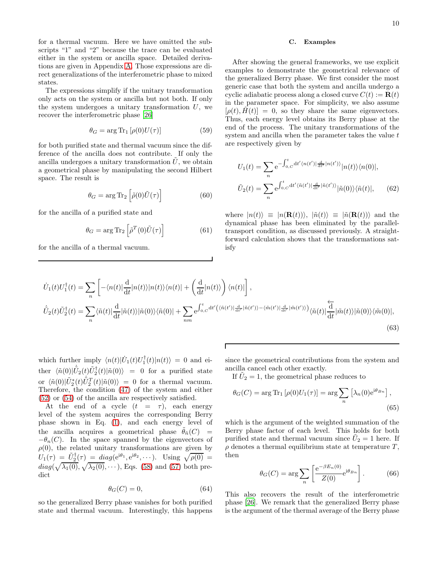for a thermal vacuum. Here we have omitted the subscripts "1" and "2" because the trace can be evaluated either in the system or ancilla space. Detailed derivations are given in Appendix [A.](#page-11-2) Those expressions are direct generalizations of the interferometric phase to mixed states.

The expressions simplify if the unitary transformation only acts on the system or ancilla but not both. If only the system undergoes a unitary transformation  $U$ , we recover the interferometric phase [\[26](#page-12-12)]

$$
\theta_G = \arg \text{Tr}_1 \left[ \rho(0) U(\tau) \right] \tag{59}
$$

for both purified state and thermal vacuum since the difference of the ancilla does not contribute. If only the ancilla undergoes a unitary transformation  $U$ , we obtain a geometrical phase by manipulating the second Hilbert space. The result is

$$
\theta_G = \arg \text{Tr}_2 \left[ \tilde{\rho}(0) \tilde{U}(\tau) \right] \tag{60}
$$

for the ancilla of a purified state and

$$
\theta_G = \arg \text{Tr}_2 \left[ \tilde{\rho}^T(0) \tilde{U}(\tau) \right] \tag{61}
$$

for the ancilla of a thermal vacuum.

## C. Examples

After showing the general frameworks, we use explicit examples to demonstrate the geometrical relevance of the generalized Berry phase. We first consider the most generic case that both the system and ancilla undergo a cyclic adiabatic process along a closed curve  $C(t) := \mathbf{R}(t)$ in the parameter space. For simplicity, we also assume  $[\rho(t), H(t)] = 0$ , so they share the same eigenvectors. Thus, each energy level obtains its Berry phase at the end of the process. The unitary transformations of the system and ancilla when the parameter takes the value  $t$ are respectively given by

$$
U_1(t) = \sum_n e^{-\int_{0,C}^t dt' \langle n(t')| \frac{d}{dt'} |n(t')\rangle} |n(t)\rangle\langle n(0)|,
$$
  

$$
\tilde{U}_2(t) = \sum_n e^{\int_{0,C}^t dt' \langle \tilde{n}(t')| \frac{d}{dt'} |\tilde{n}(t')\rangle} |\tilde{n}(0)\rangle\langle \tilde{n}(t)|,
$$
 (62)

<span id="page-9-1"></span><span id="page-9-0"></span>where  $|n(t)\rangle \equiv |n(\mathbf{R}(t))\rangle$ ,  $|\tilde{n}(t)\rangle \equiv |\tilde{n}(\mathbf{R}(t))\rangle$  and the dynamical phase has been eliminated by the paralleltransport condition, as discussed previously. A straightforward calculation shows that the transformations satisfy

$$
\dot{U}_{1}(t)U_{1}^{\dagger}(t) = \sum_{n} \left[ -\langle n(t)| \frac{d}{dt} |n(t)\rangle |n(t)\rangle \langle n(t)| + \left( \frac{d}{dt} |n(t)\rangle \right) \langle n(t)| \right],
$$
\n
$$
\dot{\tilde{U}}_{2}(t)\tilde{U}_{2}^{\dagger}(t) = \sum_{n} \langle \tilde{n}(t)| \frac{d}{dt} |\tilde{n}(t)\rangle |\tilde{n}(0)\rangle \langle \tilde{n}(0)| + \sum_{nm} e^{\int_{0,C}^{t} dt' \left( \langle \tilde{n}(t')| \frac{d}{dt'} |\tilde{n}(t')\rangle - \langle \tilde{m}(t')| \frac{d}{dt'} |\tilde{m}(t')\rangle \right)} \langle \tilde{n}(t)| \frac{d}{dt} |\tilde{m}(t)\rangle |\tilde{n}(0)\rangle \langle \tilde{m}(0)|,
$$
\n(63)

which further imply  $\langle n(t)|U_1(t)U_1^{\dagger}(t)|n(t)\rangle = 0$  and either  $\langle \tilde{n}(0) | \dot{\tilde{U}}_2(t) \tilde{U}_2^{\dagger}(t) | \tilde{n}(0) \rangle = 0$  for a purified state or  $\langle \tilde{n}(0)|\tilde{U}_2^*(t)\dot{\tilde{U}}_2^T(t)|\tilde{n}(0)\rangle = 0$  for a thermal vacuum. Therefore, the condition [\(47\)](#page-7-4) of the system and either [\(52\)](#page-8-0) or [\(54\)](#page-8-1) of the ancilla are respectively satisfied.

At the end of a cycle  $(t = \tau)$ , each energy level of the system acquires the corresponding Berry phase shown in Eq. [\(1\)](#page-1-3), and each energy level of the ancilla acquires a geometrical phase  $\tilde{\theta}_{\tilde{n}}(C)$  =  $-\theta_n(C)$ . In the space spanned by the eigenvectors of  $\rho(0)$ , the related unitary transformations are given by  $U_1(\tau) = \tilde{U}_2^{\dagger}(\tau) = diag(e^{i\theta_1}, e^{i\theta_2}, \cdots)$ . Using  $\sqrt{\rho(0)}$  =  $diag(\sqrt{\lambda_1(0)}, \sqrt{\lambda_2(0)}, \cdots)$ , Eqs. [\(58\)](#page-8-2) and [\(57\)](#page-8-3) both predict

$$
\theta_G(C) = 0,\t(64)
$$

so the generalized Berry phase vanishes for both purified state and thermal vacuum. Interestingly, this happens since the geometrical contributions from the system and ancilla cancel each other exactly.

If  $\tilde{U}_2 = 1$ , the geometrical phase reduces to

$$
\theta_G(C) = \arg \operatorname{Tr}_1\left[\rho(0)U_1(\tau)\right] = \arg \sum_n \left[\lambda_n(0)e^{i\theta_{Bn}}\right],\tag{65}
$$

which is the argument of the weighted summation of the Berry phase factor of each level. This holds for both purified state and thermal vacuum since  $\tilde{U}_2 = 1$  here. If  $\rho$  denotes a thermal equilibrium state at temperature T, then

$$
\theta_G(C) = \arg \sum_n \left[ \frac{e^{-\beta E_n(0)}}{Z(0)} e^{i\theta_{B_n}} \right].
$$
 (66)

This also recovers the result of the interferometric phase [\[26\]](#page-12-12). We remark that the generalized Berry phase is the argument of the thermal average of the Berry phase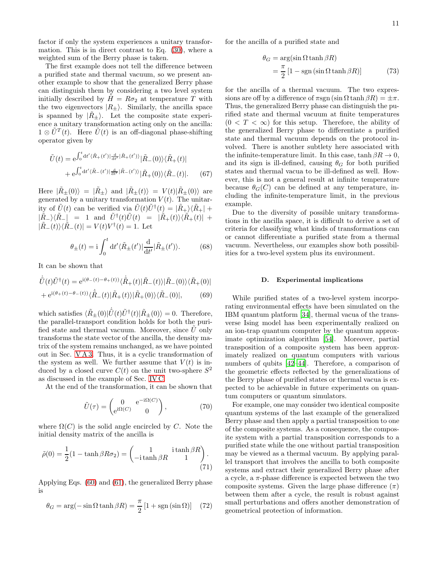factor if only the system experiences a unitary transformation. This is in direct contrast to Eq. [\(30\)](#page-5-0), where a weighted sum of the Berry phase is taken.

The first example does not tell the difference between a purified state and thermal vacuum, so we present another example to show that the generalized Berry phase can distinguish them by considering a two level system initially described by  $H = R\sigma_2$  at temperature T with the two eigenvectors  $|R_{\pm}\rangle$ . Similarly, the ancilla space is spanned by  $|R_{\pm}\rangle$ . Let the composite state experience a unitary transformation acting only on the ancilla:  $1 \otimes \tilde{U}^T(t)$ . Here  $\tilde{U}(t)$  is an off-diagonal phase-shifting operator given by

$$
\tilde{U}(t) = e^{\int_0^t dt' \langle \tilde{R}_+(t') | \frac{d}{dt'} | \tilde{R}_+(t') \rangle} |\tilde{R}_-(0) \rangle \langle \tilde{R}_+(t)|
$$
\n
$$
+ e^{\int_0^t dt' \langle \tilde{R}_-(t') | \frac{d}{dt'} | \tilde{R}_-(t') \rangle} |\tilde{R}_+(0) \rangle \langle \tilde{R}_-(t)|. \tag{67}
$$

Here  $|\tilde{R}_{\pm}(0)\rangle = |\tilde{R}_{\pm}\rangle$  and  $|\tilde{R}_{\pm}(t)\rangle = V(t)|\tilde{R}_{\pm}(0)\rangle$  are generated by a unitary transformation  $V(t)$ . The unitarity of  $\tilde{U}(t)$  can be verified via  $\tilde{U}(t)\tilde{U}^{\dagger}(t) = |\tilde{R}_{+}\rangle\langle\tilde{R}_{+}| +$  $|\tilde{R}_{-}\rangle\langle\tilde{R}_{-}$  = 1 and  $\tilde{U}^{\dagger}(t)\tilde{U}(t) = |\tilde{R}_{+}(t)\rangle\langle\tilde{R}_{+}(t)| +$  $|\tilde{R}_-(t)\rangle\langle\tilde{R}_-(t)| = V(t)V^{\dagger}(t) = 1.$  Let

$$
\theta_{\pm}(t) = \mathbf{i} \int_0^t \mathrm{d}t' \langle \tilde{R}_{\pm}(t') | \frac{\mathrm{d}}{\mathrm{d}t'} | \tilde{R}_{\pm}(t') \rangle. \tag{68}
$$

It can be shown that

$$
\dot{\tilde{U}}(t)\tilde{U}^{\dagger}(t) = e^{i(\theta_{-}(t)-\theta_{+}(t))}\langle \dot{\tilde{R}}_{+}(t)|\tilde{R}_{-}(t)\rangle|\tilde{R}_{-}(0)\rangle\langle \tilde{R}_{+}(0)|
$$
\n
$$
+ e^{i(\theta_{+}(t)-\theta_{-}(t))}\langle \dot{\tilde{R}}_{-}(t)|\tilde{R}_{+}(t)\rangle|\tilde{R}_{+}(0)\rangle\langle \tilde{R}_{-}(0)|, \qquad (69)
$$

which satisfies  $\langle \tilde{R}_{\pm}(0) | \dot{\tilde{U}}(t) \tilde{U}^{\dagger}(t) | \tilde{R}_{\pm}(0) \rangle = 0$ . Therefore, the parallel-transport condition holds for both the purified state and thermal vacuum. Moreover, since  $U$  only transforms the state vector of the ancilla, the density matrix of the system remains unchanged, as we have pointed out in Sec. [V A 3.](#page-8-4) Thus, it is a cyclic transformation of the system as well. We further assume that  $V(t)$  is induced by a closed curve  $C(t)$  on the unit two-sphere  $S^2$ as discussed in the example of Sec. [IV C.](#page-6-3)

At the end of the transformation, it can be shown that

$$
\tilde{U}(\tau) = \begin{pmatrix} 0 & e^{-i\Omega(C)} \\ e^{i\Omega(C)} & 0 \end{pmatrix},\tag{70}
$$

where  $\Omega(C)$  is the solid angle encircled by C. Note the initial density matrix of the ancilla is

$$
\tilde{\rho}(0) = \frac{1}{2}(1 - \tanh \beta R \sigma_2) = \begin{pmatrix} 1 & \text{itanh}\,\beta R \\ -\text{itanh}\,\beta R & 1 \end{pmatrix} . \tag{71}
$$

Applying Eqs. [\(60\)](#page-9-0) and [\(61\)](#page-9-1), the generalized Berry phase is

$$
\theta_G = \arg(-\sin\Omega\tanh\beta R) = \frac{\pi}{2} [1 + \text{sgn}(\sin\Omega)] \quad (72)
$$

for the ancilla of a purified state and

$$
\theta_G = \arg(\sin \Omega \tanh \beta R)
$$
  
=  $\frac{\pi}{2} [1 - \text{sgn} (\sin \Omega \tanh \beta R)]$  (73)

for the ancilla of a thermal vacuum. The two expressions are off by a difference of  $\pi sgn(\sin \Omega \tanh \beta R) = \pm \pi$ . Thus, the generalized Berry phase can distinguish the purified state and thermal vacuum at finite temperatures  $(0 < T < \infty)$  for this setup. Therefore, the ability of the generalized Berry phase to differentiate a purified state and thermal vacuum depends on the protocol involved. There is another subtlety here associated with the infinite-temperature limit. In this case,  $\tanh \beta R \rightarrow 0$ , and its sign is ill-defined, causing  $\theta_G$  for both purified states and thermal vacua to be ill-defined as well. However, this is not a general result at infinite temperature because  $\theta_G(C)$  can be defined at any temperature, including the infinite-temperature limit, in the previous example.

Due to the diversity of possible unitary transformations in the ancilla space, it is difficult to derive a set of criteria for classifying what kinds of transformations can or cannot differentiate a purified state from a thermal vacuum. Nevertheless, our examples show both possibilities for a two-level system plus its environment.

#### D. Experimental implications

While purified states of a two-level system incorporating environmental effects have been simulated on the IBM quantum platform [\[34\]](#page-12-14), thermal vacua of the transverse Ising model has been experimentally realized on an ion-trap quantum computer by the quantum approximate optimization algorithm [\[54\]](#page-13-16). Moreover, partial transposition of a composite system has been approximately realized on quantum computers with various numbers of qubits [\[42](#page-13-4)[–44](#page-13-5)]. Therefore, a comparison of the geometric effects reflected by the generalizations of the Berry phase of purified states or thermal vacua is expected to be achievable in future experiments on quantum computers or quantum simulators.

For example, one may consider two identical composite quantum systems of the last example of the generalized Berry phase and then apply a partial transposition to one of the composite systems. As a consequence, the composite system with a partial transposition corresponds to a purified state while the one without partial transposition may be viewed as a thermal vacuum. By applying parallel transport that involves the ancilla to both composite systems and extract their generalized Berry phase after a cycle, a  $\pi$ -phase difference is expected between the two composite systems. Given the large phase difference  $(\pi)$ between them after a cycle, the result is robust against small perturbations and offers another demonstration of geometrical protection of information.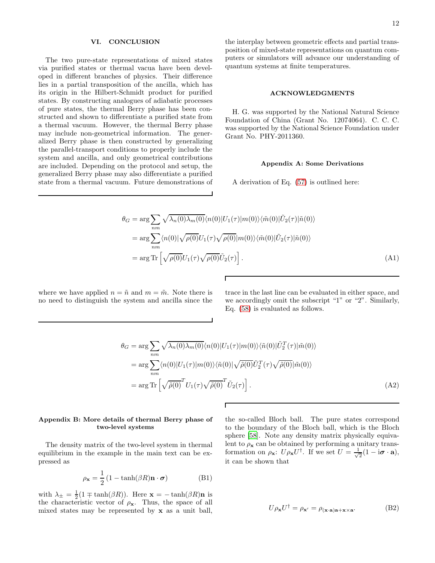## <span id="page-11-0"></span>VI. CONCLUSION

The two pure-state representations of mixed states via purified states or thermal vacua have been developed in different branches of physics. Their difference lies in a partial transposition of the ancilla, which has its origin in the Hilbert-Schmidt product for purified states. By constructing analogues of adiabatic processes of pure states, the thermal Berry phase has been constructed and shown to differentiate a purified state from a thermal vacuum. However, the thermal Berry phase may include non-geometrical information. The generalized Berry phase is then constructed by generalizing the parallel-transport conditions to properly include the system and ancilla, and only geometrical contributions are included. Depending on the protocol and setup, the generalized Berry phase may also differentiate a purified state from a thermal vacuum. Future demonstrations of

the interplay between geometric effects and partial transposition of mixed-state representations on quantum computers or simulators will advance our understanding of quantum systems at finite temperatures.

#### ACKNOWLEDGMENTS

H. G. was supported by the National Natural Science Foundation of China (Grant No. 12074064). C. C. C. was supported by the National Science Foundation under Grant No. PHY-2011360.

## <span id="page-11-2"></span>Appendix A: Some Derivations

A derivation of Eq. [\(57\)](#page-8-3) is outlined here:

$$
\theta_G = \arg \sum_{nm} \sqrt{\lambda_n(0)\lambda_m(0)} \langle n(0)|U_1(\tau)|m(0)\rangle \langle \tilde{m}(0)|\tilde{U}_2(\tau)|\tilde{n}(0)\rangle
$$
  
\n
$$
= \arg \sum_{nm} \langle n(0)|\sqrt{\rho(0)}U_1(\tau)\sqrt{\rho(0)}|m(0)\rangle \langle \tilde{m}(0)|\tilde{U}_2(\tau)|\tilde{n}(0)\rangle
$$
  
\n
$$
= \arg \text{Tr}\left[\sqrt{\rho(0)}U_1(\tau)\sqrt{\rho(0)}\tilde{U}_2(\tau)\right].
$$
 (A1)

where we have applied  $n = \tilde{n}$  and  $m = \tilde{m}$ . Note there is no need to distinguish the system and ancilla since the trace in the last line can be evaluated in either space, and we accordingly omit the subscript "1" or "2". Similarly, Eq. [\(58\)](#page-8-2) is evaluated as follows.

$$
\theta_G = \arg \sum_{nm} \sqrt{\lambda_n(0)\lambda_m(0)} \langle n(0)|U_1(\tau)|m(0)\rangle \langle \tilde{n}(0)|\tilde{U}_2^T(\tau)|\tilde{m}(0)\rangle
$$
  
\n
$$
= \arg \sum_{nm} \langle n(0)|U_1(\tau)|m(0)\rangle \langle \tilde{n}(0)|\sqrt{\tilde{\rho}(0)}\tilde{U}_2^T(\tau)\sqrt{\tilde{\rho}(0)}|\tilde{m}(0)\rangle
$$
  
\n
$$
= \arg \text{Tr}\left[\sqrt{\tilde{\rho}(0)}^T U_1(\tau)\sqrt{\tilde{\rho}(0)}^T \tilde{U}_2(\tau)\right].
$$
 (A2)

### <span id="page-11-1"></span>Appendix B: More details of thermal Berry phase of two-level systems

The density matrix of the two-level system in thermal equilibrium in the example in the main text can be expressed as

$$
\rho_{\mathbf{x}} = \frac{1}{2} \left( 1 - \tanh(\beta R) \mathbf{n} \cdot \boldsymbol{\sigma} \right) \tag{B1}
$$

with  $\lambda_{\pm} = \frac{1}{2}(1 \mp \tanh(\beta R))$ . Here  $\mathbf{x} = -\tanh(\beta R)$ n is the characteristic vector of  $\rho_{\mathbf{x}}$ . Thus, the space of all mixed states may be represented by x as a unit ball,

the so-called Bloch ball. The pure states correspond to the boundary of the Bloch ball, which is the Bloch sphere [\[58](#page-13-20)]. Note any density matrix physically equivalent to  $\rho_{\mathbf{x}}$  can be obtained by performing a unitary transformation on  $\rho_{\mathbf{x}}$ :  $U \rho_{\mathbf{x}} U^{\dagger}$ . If we set  $U = \frac{1}{\sqrt{2}}$  $\frac{1}{2}(1 - i\boldsymbol{\sigma} \cdot \mathbf{a}),$ it can be shown that

$$
U\rho_{\mathbf{x}}U^{\dagger} = \rho_{\mathbf{x}'} = \rho_{(\mathbf{x}\cdot\mathbf{a})\mathbf{a} + \mathbf{x}\times\mathbf{a}}.
$$
 (B2)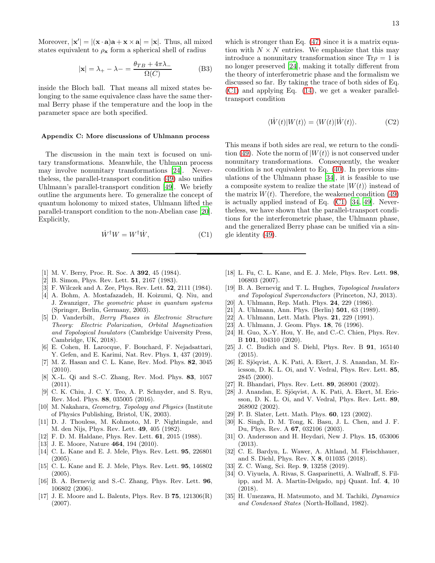Moreover,  $|\mathbf{x}'| = |(\mathbf{x} \cdot \mathbf{a})\mathbf{a} + \mathbf{x} \times \mathbf{a}| = |\mathbf{x}|$ . Thus, all mixed states equivalent to  $\rho_{\mathbf{x}}$  form a spherical shell of radius

$$
|\mathbf{x}| = \lambda_{+} - \lambda_{-} = \frac{\theta_{TB} + 4\pi\lambda_{-}}{\Omega(C)}
$$
(B3)

inside the Bloch ball. That means all mixed states belonging to the same equivalence class have the same thermal Berry phase if the temperature and the loop in the parameter space are both specified.

#### <span id="page-12-17"></span>Appendix C: More discussions of Uhlmann process

The discussion in the main text is focused on unitary transformations. Meanwhile, the Uhlmann process may involve nonunitary transformations [\[24\]](#page-12-10). Nevertheless, the parallel-transport condition [\(49\)](#page-7-3) also unifies Uhlmann's parallel-transport condition [\[49](#page-13-10)]. We briefly outline the arguments here. To generalize the concept of quantum holonomy to mixed states, Uhlmann lifted the parallel-transport condition to the non-Abelian case [\[20\]](#page-12-8). Explicitly,

$$
\dot{W}^{\dagger}W = W^{\dagger}\dot{W},\tag{C1}
$$

- <span id="page-12-0"></span>[1] M. V. Berry, Proc. R. Soc. A 392, 45 (1984).
- <span id="page-12-1"></span>[2] B. Simon, Phys. Rev. Lett. **51**, 2167 (1983).
- <span id="page-12-3"></span>[3] F. Wilczek and A. Zee, Phys. Rev. Lett. 52, 2111 (1984). [4] A. Bohm, A. Mostafazadeh, H. Koizumi, Q. Niu, and
- J. Zwanziger, *The geometric phase in quantum systems* (Springer, Berlin, Germany, 2003).
- [5] D. Vanderbilt, *Berry Phases in Electronic Structure Theory: Electric Polarization, Orbital Magnetization and Topological Insulators* (Cambridge University Press, Cambridge, UK, 2018).
- [6] E. Cohen, H. Larocque, F. Bouchard, F. Nejadsattari, Y. Gefen, and E. Karimi, Nat. Rev. Phys. 1, 437 (2019).
- <span id="page-12-5"></span>[7] M. Z. Hasan and C. L. Kane, Rev. Mod. Phys. 82, 3045  $(2010).$
- [8] X.-L. Qi and S.-C. Zhang, Rev. Mod. Phys. 83, 1057  $(2011).$
- <span id="page-12-2"></span>[9] C. K. Chiu, J. C. Y. Teo, A. P. Schnyder, and S. Ryu, Rev. Mod. Phys. 88, 035005 (2016).
- <span id="page-12-4"></span>[10] M. Nakahara, *Geometry, Topology and Physics* (Institute of Physics Publishing, Bristol, UK, 2003).
- <span id="page-12-6"></span>[11] D. J. Thouless, M. Kohmoto, M. P. Nightingale, and M. den Nijs, Phys. Rev. Lett. 49, 405 (1982).
- [12] F. D. M. Haldane, Phys. Rev. Lett. 61, 2015 (1988).
- [13] J. E. Moore, Nature **464**, 194 (2010).
- [14] C. L. Kane and E. J. Mele, Phys. Rev. Lett. 95, 226801 (2005).
- [15] C. L. Kane and E. J. Mele, Phys. Rev. Lett. 95, 146802  $(2005).$
- [16] B. A. Bernevig and S.-C. Zhang, Phys. Rev. Lett. 96, 106802 (2006).
- [17] J. E. Moore and L. Balents, Phys. Rev. B 75, 121306(R) (2007).

which is stronger than Eq. [\(47\)](#page-7-4) since it is a matrix equation with  $N \times N$  entries. We emphasize that this may introduce a nonunitary transformation since  $\text{Tr}\rho = 1$  is no longer preserved [\[24\]](#page-12-10), making it totally different from the theory of interferometric phase and the formalism we discussed so far. By taking the trace of both sides of Eq. [\(C1\)](#page-12-18) and applying Eq. [\(14\)](#page-3-6), we get a weaker paralleltransport condition

$$
\langle \dot{W}(t)|W(t)\rangle = \langle W(t)|\dot{W}(t)\rangle.
$$
 (C2)

This means if both sides are real, we return to the condi-tion [\(49\)](#page-7-3). Note the norm of  $|W(t)\rangle$  is not conserved under nonunitary transformations. Consequently, the weaker condition is not equivalent to Eq. [\(40\)](#page-7-2). In previous simulations of the Uhlmann phase [\[34\]](#page-12-14), it is feasible to use a composite system to realize the state  $|W(t)\rangle$  instead of the matrix  $W(t)$ . Therefore, the weakened condition [\(49\)](#page-7-3) is actually applied instead of Eq. [\(C1\)](#page-12-18) [\[34,](#page-12-14) [49\]](#page-13-10). Nevertheless, we have shown that the parallel-transport conditions for the interferometric phase, the Uhlmann phase, and the generalized Berry phase can be unified via a single identity [\(49\)](#page-7-3).

- <span id="page-12-18"></span>[18] L. Fu, C. L. Kane, and E. J. Mele, Phys. Rev. Lett. 98, 106803 (2007).
- <span id="page-12-7"></span>[19] B. A. Bernevig and T. L. Hughes, *Topological Insulators and Topological Superconductors* (Princeton, NJ, 2013).
- <span id="page-12-8"></span>[20] A. Uhlmann, Rep. Math. Phys. 24, 229 (1986).
- [21] A. Uhlmann, Ann. Phys. (Berlin) 501, 63 (1989).
- <span id="page-12-16"></span>[22] A. Uhlmann, Lett. Math. Phys. **21**, 229 (1991).
- <span id="page-12-9"></span>[23] A. Uhlmann, J. Geom. Phys. **18**, 76 (1996).
- <span id="page-12-10"></span>[24] H. Guo, X.-Y. Hou, Y. He, and C.-C. Chien, Phys. Rev. B 101, 104310 (2020).
- <span id="page-12-11"></span>[25] J. C. Budich and S. Diehl, Phys. Rev. B **91**, 165140 (2015).
- <span id="page-12-12"></span>[26] E. Sjöqvist, A. K. Pati, A. Ekert, J. S. Anandan, M. Ericsson, D. K. L. Oi, and V. Vedral, Phys. Rev. Lett. 85, 2845 (2000).
- [27] R. Bhandari, Phys. Rev. Lett. 89, 268901 (2002).
- [28] J. Anandan, E. Sjöqvist, A. K. Pati, A. Ekert, M. Ericsson, D. K. L. Oi, and V. Vedral, Phys. Rev. Lett. 89, 268902 (2002).
- [29] P. B. Slater, Lett. Math. Phys. 60, 123 (2002).
- [30] K. Singh, D. M. Tong, K. Basu, J. L. Chen, and J. F. Du, Phys. Rev. A 67, 032106 (2003).
- [31] O. Andersson and H. Heydari, New J. Phys. 15, 053006 (2013).
- [32] C. E. Bardyn, L. Wawer, A. Altland, M. Fleischhauer, and S. Diehl, Phys. Rev. X 8, 011035 (2018).
- <span id="page-12-13"></span>[33] Z. C. Wang, Sci. Rep. 9, 13258 (2019).
- <span id="page-12-14"></span>[34] O. Viyuela, A. Rivas, S. Gasparinetti, A. Wallraff, S. Filipp, and M. A. Martin-Delgado, npj Quant. Inf. 4, 10 (2018).
- <span id="page-12-15"></span>[35] H. Umezawa, H. Matsumoto, and M. Tachiki, *Dynamics and Condensed States* (North-Holland, 1982).